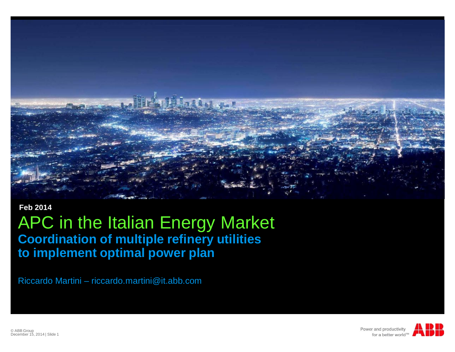

#### **Feb 2014**

#### APC in the Italian Energy Market **Coordination of multiple refinery utilities to implement optimal power plan**

Riccardo Martini – riccardo.martini@it.abb.com



© ABB Group December 15, 2014 | Slide 1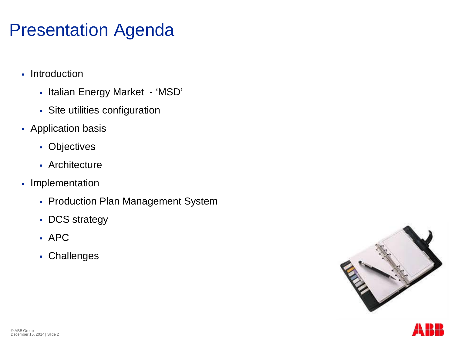#### Presentation Agenda

- Introduction
	- § Italian Energy Market 'MSD'
	- § Site utilities configuration
- Application basis
	- § Objectives
	- § Architecture
- Implementation
	- § Production Plan Management System
	- § DCS strategy
	- § APC
	- § Challenges



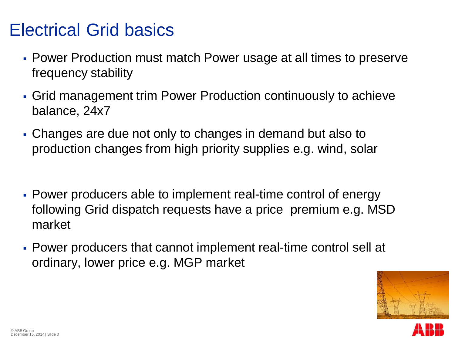#### Electrical Grid basics

- § Power Production must match Power usage at all times to preserve frequency stability
- § Grid management trim Power Production continuously to achieve balance, 24x7
- § Changes are due not only to changes in demand but also to production changes from high priority supplies e.g. wind, solar
- § Power producers able to implement real-time control of energy following Grid dispatch requests have a price premium e.g. MSD market
- § Power producers that cannot implement real-time control sell at ordinary, lower price e.g. MGP market



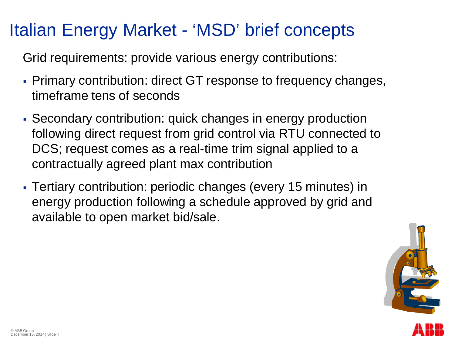#### Italian Energy Market - 'MSD' brief concepts

Grid requirements: provide various energy contributions:

- Primary contribution: direct GT response to frequency changes, timeframe tens of seconds
- § Secondary contribution: quick changes in energy production following direct request from grid control via RTU connected to DCS; request comes as a real-time trim signal applied to a contractually agreed plant max contribution
- § Tertiary contribution: periodic changes (every 15 minutes) in energy production following a schedule approved by grid and available to open market bid/sale.

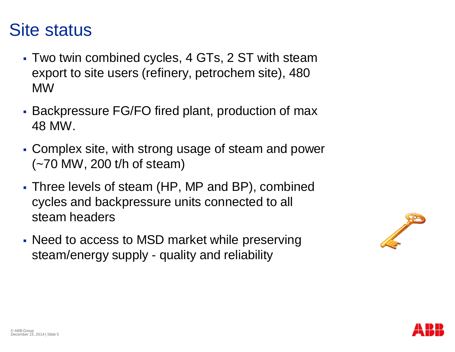#### Site status

- § Two twin combined cycles, 4 GTs, 2 ST with steam export to site users (refinery, petrochem site), 480 MW
- § Backpressure FG/FO fired plant, production of max 48 MW.
- § Complex site, with strong usage of steam and power (~70 MW, 200 t/h of steam)
- § Three levels of steam (HP, MP and BP), combined cycles and backpressure units connected to all steam headers
- § Need to access to MSD market while preserving steam/energy supply - quality and reliability



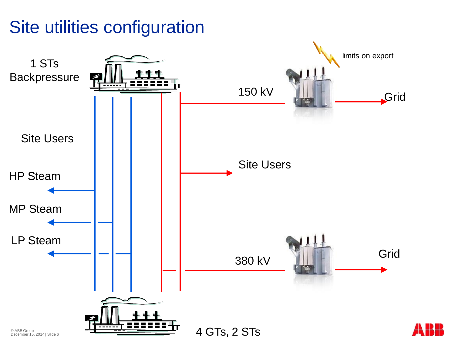### Site utilities configuration

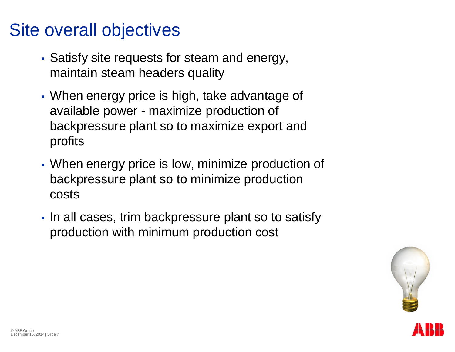#### Site overall objectives

- Satisfy site requests for steam and energy, maintain steam headers quality
- When energy price is high, take advantage of available power - maximize production of backpressure plant so to maximize export and profits
- When energy price is low, minimize production of backpressure plant so to minimize production costs
- In all cases, trim backpressure plant so to satisfy production with minimum production cost

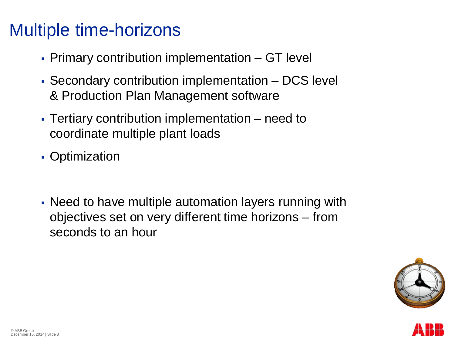#### Multiple time-horizons

- Primary contribution implementation GT level
- § Secondary contribution implementation DCS level & Production Plan Management software
- Tertiary contribution implementation need to coordinate multiple plant loads
- Optimization
- Need to have multiple automation layers running with objectives set on very different time horizons – from seconds to an hour



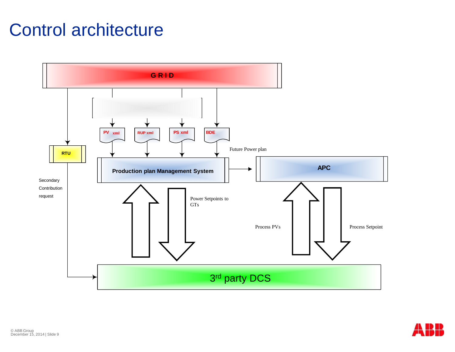#### Control architecture



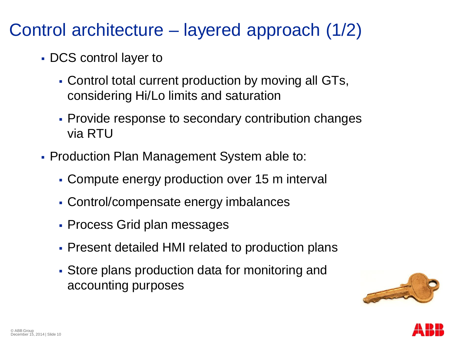#### Control architecture – layered approach (1/2)

- § DCS control layer to
	- § Control total current production by moving all GTs, considering Hi/Lo limits and saturation
	- § Provide response to secondary contribution changes via RTU
- § Production Plan Management System able to:
	- Compute energy production over 15 m interval
	- § Control/compensate energy imbalances
	- § Process Grid plan messages
	- Present detailed HMI related to production plans
	- Store plans production data for monitoring and accounting purposes



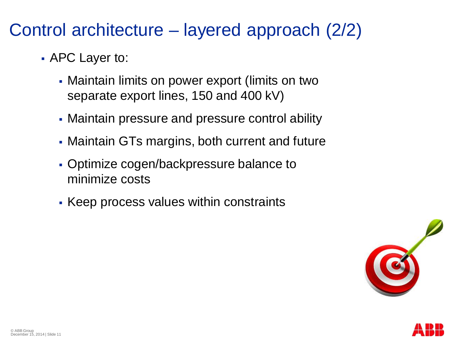#### Control architecture – layered approach (2/2)

- § APC Layer to:
	- Maintain limits on power export (limits on two separate export lines, 150 and 400 kV)
	- Maintain pressure and pressure control ability
	- Maintain GTs margins, both current and future
	- § Optimize cogen/backpressure balance to minimize costs
	- Keep process values within constraints



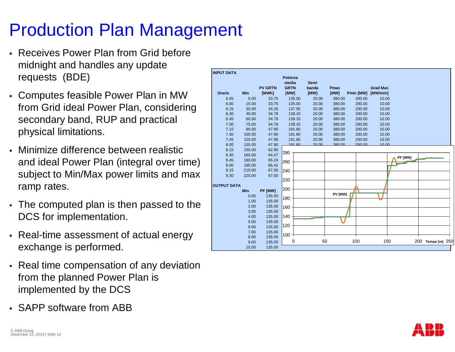## Production Plan Management

- § Receives Power Plan from Grid before midnight and handles any update requests (BDE)
- § Computes feasible Power Plan in MW from Grid ideal Power Plan, considering secondary band, RUP and practical physical limitations.
- § Minimize difference between realistic and ideal Power Plan (integral over time) subject to Min/Max power limits and max ramp rates.
- The computed plan is then passed to the DCS for implementation.
- § Real-time assessment of actual energy exchange is performed.
- Real time compensation of any deviation from the planned Power Plan is implemented by the DCS
- § SAPP software from ABB

|                    |            |                | Potenza              |                      |         |           |                 |         |                      |  |
|--------------------|------------|----------------|----------------------|----------------------|---------|-----------|-----------------|---------|----------------------|--|
|                    |            | <b>PV GRTN</b> | media<br><b>GRTN</b> | <b>Semi</b><br>banda | Pmax    |           | <b>Grad Max</b> |         |                      |  |
| Orario             | Min        | [MWh]          | [MW]                 | [MW]                 | [MW]    | Pmin [MW] | [MW/min]        |         |                      |  |
| 5.45               | 0.00       | 33.75          | 135.00               | 20.00                | 380.00  | 200.00    | 10.00           |         |                      |  |
| 6.00               | 15.00      | 33.75          | 135.00               | 20.00                | 380.00  | 200.00    | 10.00           |         |                      |  |
| 6.15               | 30.00      | 34.26          | 137.05               | 20.00                | 380.00  | 200.00    | 10.00           |         |                      |  |
| 6.30               | 45.00      | 34.78          | 139.10               | 20.00                | 380.00  | 200.00    | 10.00           |         |                      |  |
| 6.45               | 60.00      | 34.78          | 139.10               | 20.00                | 380.00  | 200.00    | 10.00           |         |                      |  |
| 7.00               | 75.00      | 34.78          | 139.10               | 20.00                | 380.00  | 200.00    | 10.00           |         |                      |  |
| 7.15               | 90.00      | 47.90          | 191.60               | 20.00                | 380.00  | 200.00    | 10.00           |         |                      |  |
| 7.30               | 105.00     | 47.90          | 191.60               | 20.00                | 380.00  | 200.00    | 10.00           |         |                      |  |
| 7.45               | 120.00     | 47.90          | 191.60               | 20.00                | 380.00  | 200.00    | 10.00           |         |                      |  |
| 8.00               | 135.00     | 47.90          | 191 60               | 20,00                | 380.00  | 200,00    | 10.00           |         |                      |  |
| 8.15               | 150.00     | 62.90          | 280                  |                      |         |           |                 |         |                      |  |
| 8.30               | 165.00     | 64.07          |                      |                      |         |           |                 | PF [MW] |                      |  |
| 8.45               | 180.00     | 65.24          | 260                  |                      |         |           |                 |         |                      |  |
| 9.00               | 195.00     | 66.42          |                      |                      |         |           |                 |         |                      |  |
| 9.15               | 210.00     | 67.00          | 240                  |                      |         |           |                 |         |                      |  |
| 9.30               | 225.00     | 67.00          | 220                  |                      |         |           |                 |         |                      |  |
| <b>OUTPUT DATA</b> |            |                |                      |                      |         |           |                 |         |                      |  |
|                    | <b>Min</b> | PF [MW]        | 200                  |                      |         |           |                 |         |                      |  |
|                    | 0.00       | 135.00         |                      |                      | PV [MW] |           |                 |         |                      |  |
|                    | 1.00       | 135.00         | 180                  |                      |         |           |                 |         |                      |  |
|                    | 2.00       | 135.00         | 160                  |                      |         |           |                 |         |                      |  |
|                    | 3.00       | 135.00         |                      |                      |         |           |                 |         |                      |  |
|                    | 4.00       | 135.00         | 140                  |                      |         |           |                 |         |                      |  |
|                    | 5.00       | 135.00         |                      |                      |         |           |                 |         |                      |  |
|                    | 6.00       | 135.00         | 120                  |                      |         |           |                 |         |                      |  |
|                    | 7.00       | 135.00         |                      |                      |         |           |                 |         |                      |  |
|                    | 8.00       | 135.00         | 100                  |                      |         |           |                 |         |                      |  |
|                    | 9.00       | 135.00         | 0                    | 50                   |         | 100       | 150             |         | 200<br>Tempo [m] 250 |  |
|                    | 10.00      | 135.00         |                      |                      |         |           |                 |         |                      |  |

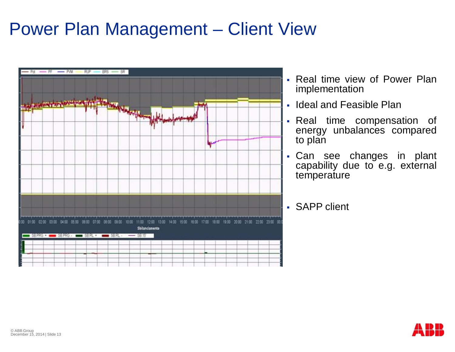#### Power Plan Management – Client View



- § Real time view of Power Plan implementation
- Ideal and Feasible Plan
- Real time compensation of energy unbalances compared to plan
- Can see changes in plant capability due to e.g. external temperature
- § SAPP client

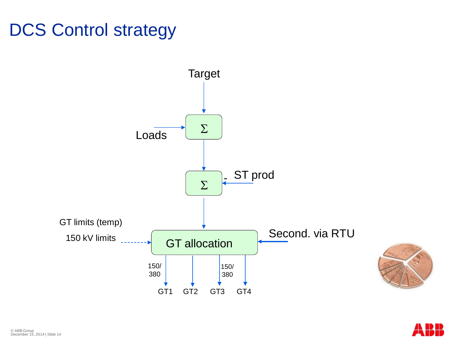## DCS Control strategy



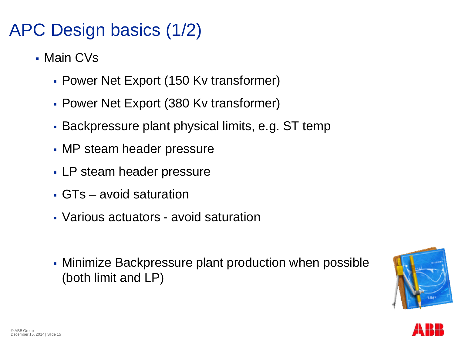### APC Design basics (1/2)

- § Main CVs
	- § Power Net Export (150 Kv transformer)
	- § Power Net Export (380 Kv transformer)
	- § Backpressure plant physical limits, e.g. ST temp
	- MP steam header pressure
	- LP steam header pressure
	- GTs avoid saturation
	- § Various actuators avoid saturation
	- § Minimize Backpressure plant production when possible (both limit and LP)



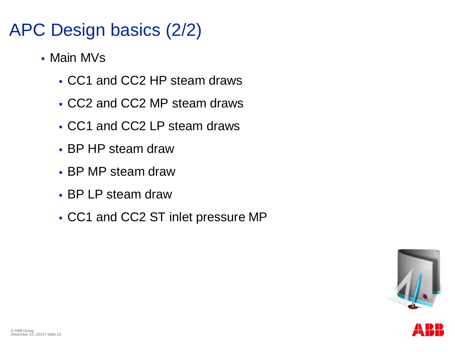#### APC Design basics (2/2)

- § Main MVs
	- § CC1 and CC2 HP steam draws
	- § CC2 and CC2 MP steam draws
	- § CC1 and CC2 LP steam draws
	- § BP HP steam draw
	- § BP MP steam draw
	- § BP LP steam draw
	- § CC1 and CC2 ST inlet pressure MP



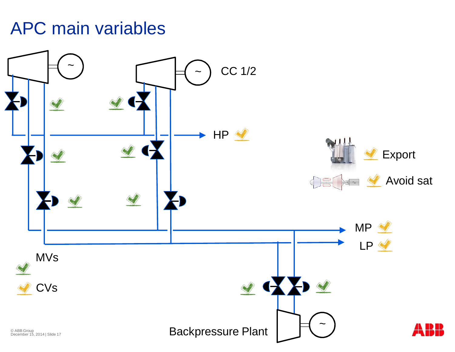#### APC main variables

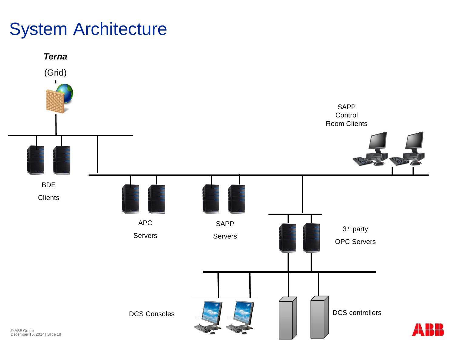#### System Architecture

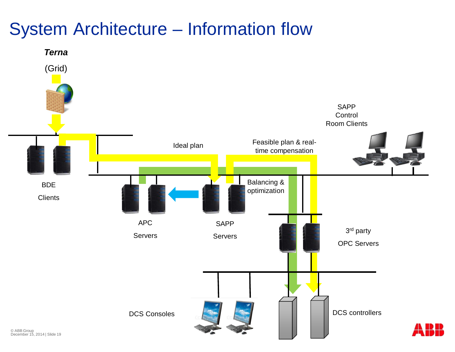#### System Architecture – Information flow

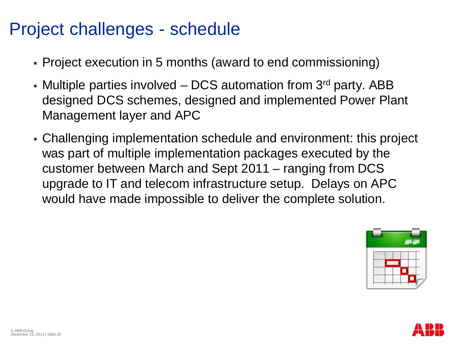#### Project challenges - schedule

- § Project execution in 5 months (award to end commissioning)
- Multiple parties involved  $-$  DCS automation from 3<sup>rd</sup> party. ABB designed DCS schemes, designed and implemented Power Plant Management layer and APC
- § Challenging implementation schedule and environment: this project was part of multiple implementation packages executed by the customer between March and Sept 2011 – ranging from DCS upgrade to IT and telecom infrastructure setup. Delays on APC would have made impossible to deliver the complete solution.



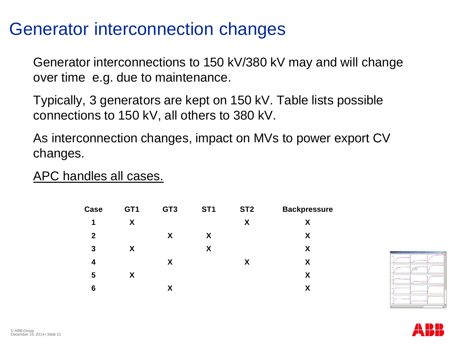#### Generator interconnection changes

Generator interconnections to 150 kV/380 kV may and will change over time e.g. due to maintenance.

Typically, 3 generators are kept on 150 kV. Table lists possible connections to 150 kV, all others to 380 kV.

As interconnection changes, impact on MVs to power export CV changes.

APC handles all cases.

| Case             | GT <sub>1</sub> | GT <sub>3</sub> | ST <sub>1</sub> | ST <sub>2</sub> | <b>Backpressure</b> |
|------------------|-----------------|-----------------|-----------------|-----------------|---------------------|
| 1                | X               |                 |                 | X               | X                   |
| $\boldsymbol{2}$ |                 | X               | X               |                 | X                   |
| $\mathbf{3}$     | X               |                 | X               |                 | X                   |
| 4                |                 | X               |                 | X               | X                   |
| 5                | X.              |                 |                 |                 | X                   |
| 6                |                 | χ               |                 |                 | X                   |



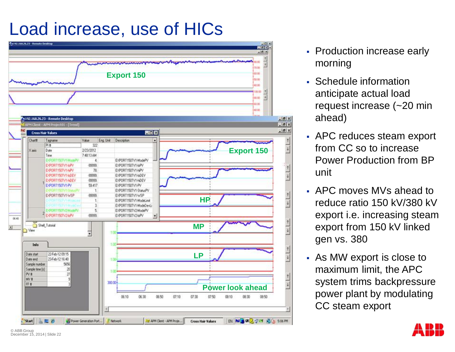### Load increase, use of HICs



- Production increase early morning
- § Schedule information anticipate actual load request increase (~20 min ahead)
- APC reduces steam export from CC so to increase Power Production from BP unit
- § APC moves MVs ahead to reduce ratio 150 kV/380 kV export i.e. increasing steam export from 150 kV linked gen vs. 380
- § As MW export is close to maximum limit, the APC system trims backpressure power plant by modulating CC steam export

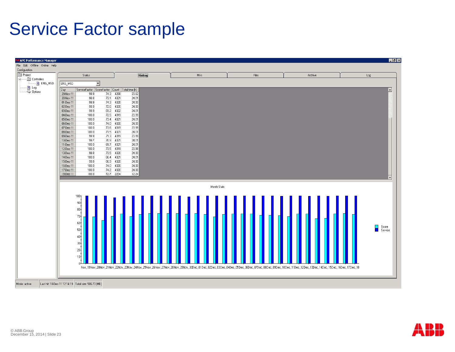#### Service Factor sample



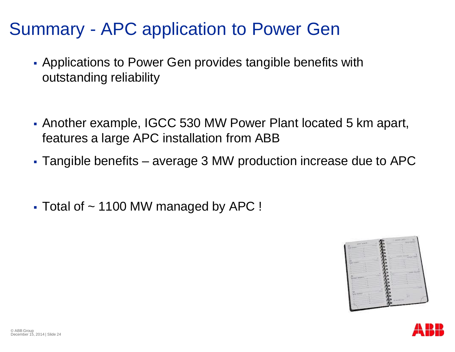#### Summary - APC application to Power Gen

- § Applications to Power Gen provides tangible benefits with outstanding reliability
- § Another example, IGCC 530 MW Power Plant located 5 km apart, features a large APC installation from ABB
- § Tangible benefits average 3 MW production increase due to APC
- $\blacktriangleright$  Total of  $\sim$  1100 MW managed by APC !



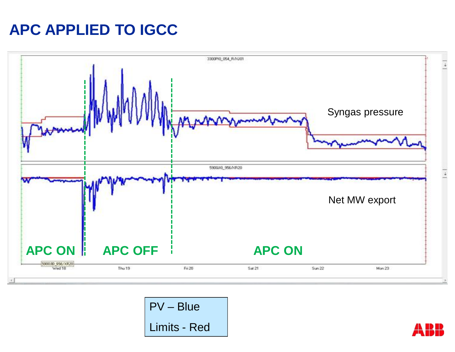#### **APC APPLIED TO IGCC**



PV – Blue Limits - Red